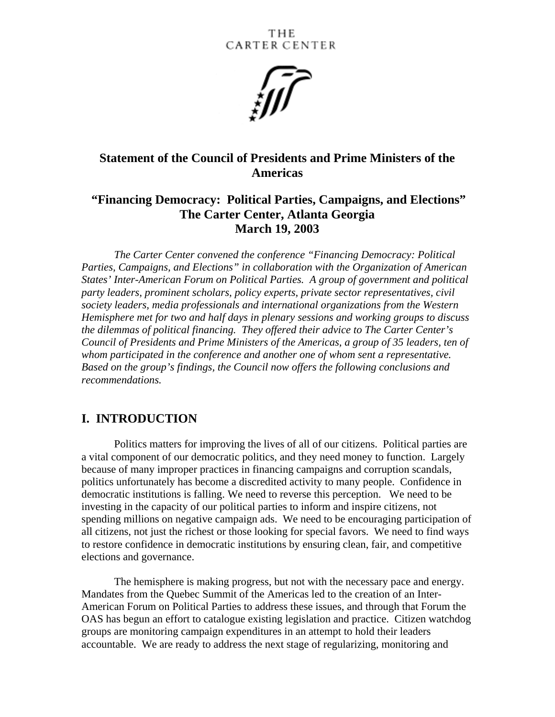

## **Statement of the Council of Presidents and Prime Ministers of the Americas**

## **"Financing Democracy: Political Parties, Campaigns, and Elections" The Carter Center, Atlanta Georgia March 19, 2003**

*The Carter Center convened the conference "Financing Democracy: Political Parties, Campaigns, and Elections" in collaboration with the Organization of American States' Inter-American Forum on Political Parties. A group of government and political party leaders, prominent scholars, policy experts, private sector representatives, civil society leaders, media professionals and international organizations from the Western Hemisphere met for two and half days in plenary sessions and working groups to discuss the dilemmas of political financing. They offered their advice to The Carter Center's Council of Presidents and Prime Ministers of the Americas, a group of 35 leaders, ten of whom participated in the conference and another one of whom sent a representative. Based on the group's findings, the Council now offers the following conclusions and recommendations.* 

## **I. INTRODUCTION**

Politics matters for improving the lives of all of our citizens. Political parties are a vital component of our democratic politics, and they need money to function. Largely because of many improper practices in financing campaigns and corruption scandals, politics unfortunately has become a discredited activity to many people. Confidence in democratic institutions is falling. We need to reverse this perception. We need to be investing in the capacity of our political parties to inform and inspire citizens, not spending millions on negative campaign ads. We need to be encouraging participation of all citizens, not just the richest or those looking for special favors. We need to find ways to restore confidence in democratic institutions by ensuring clean, fair, and competitive elections and governance.

The hemisphere is making progress, but not with the necessary pace and energy. Mandates from the Quebec Summit of the Americas led to the creation of an Inter-American Forum on Political Parties to address these issues, and through that Forum the OAS has begun an effort to catalogue existing legislation and practice. Citizen watchdog groups are monitoring campaign expenditures in an attempt to hold their leaders accountable. We are ready to address the next stage of regularizing, monitoring and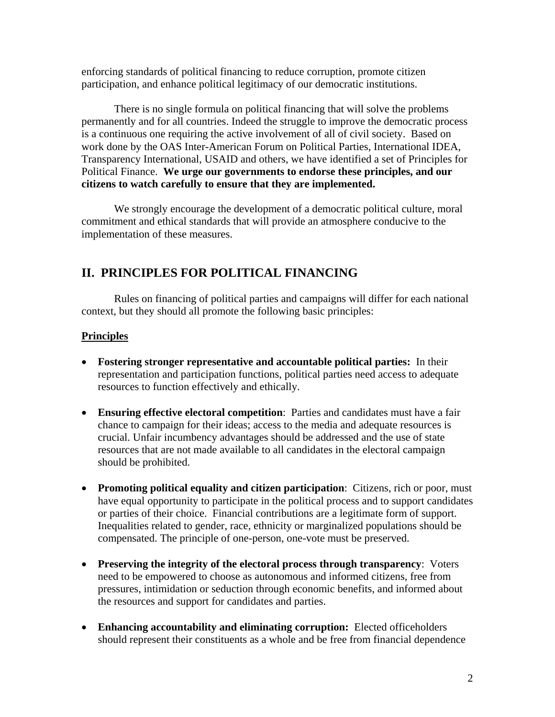enforcing standards of political financing to reduce corruption, promote citizen participation, and enhance political legitimacy of our democratic institutions.

There is no single formula on political financing that will solve the problems permanently and for all countries. Indeed the struggle to improve the democratic process is a continuous one requiring the active involvement of all of civil society. Based on work done by the OAS Inter-American Forum on Political Parties, International IDEA, Transparency International, USAID and others, we have identified a set of Principles for Political Finance. **We urge our governments to endorse these principles, and our citizens to watch carefully to ensure that they are implemented.**

We strongly encourage the development of a democratic political culture, moral commitment and ethical standards that will provide an atmosphere conducive to the implementation of these measures.

# **II. PRINCIPLES FOR POLITICAL FINANCING**

Rules on financing of political parties and campaigns will differ for each national context, but they should all promote the following basic principles:

### **Principles**

- **Fostering stronger representative and accountable political parties:** In their representation and participation functions, political parties need access to adequate resources to function effectively and ethically.
- **Ensuring effective electoral competition**: Parties and candidates must have a fair chance to campaign for their ideas; access to the media and adequate resources is crucial. Unfair incumbency advantages should be addressed and the use of state resources that are not made available to all candidates in the electoral campaign should be prohibited.
- **Promoting political equality and citizen participation**: Citizens, rich or poor, must have equal opportunity to participate in the political process and to support candidates or parties of their choice. Financial contributions are a legitimate form of support. Inequalities related to gender, race, ethnicity or marginalized populations should be compensated. The principle of one-person, one-vote must be preserved.
- **Preserving the integrity of the electoral process through transparency**: Voters need to be empowered to choose as autonomous and informed citizens, free from pressures, intimidation or seduction through economic benefits, and informed about the resources and support for candidates and parties.
- **Enhancing accountability and eliminating corruption:** Elected officeholders should represent their constituents as a whole and be free from financial dependence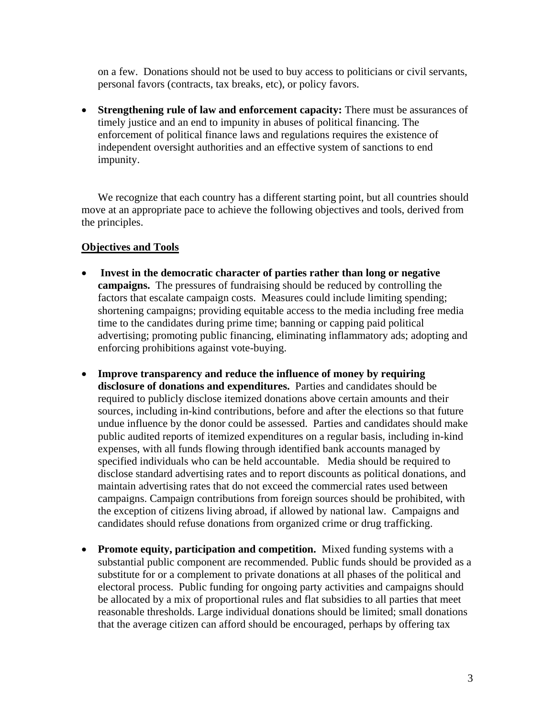on a few. Donations should not be used to buy access to politicians or civil servants, personal favors (contracts, tax breaks, etc), or policy favors.

• **Strengthening rule of law and enforcement capacity:** There must be assurances of timely justice and an end to impunity in abuses of political financing. The enforcement of political finance laws and regulations requires the existence of independent oversight authorities and an effective system of sanctions to end impunity.

We recognize that each country has a different starting point, but all countries should move at an appropriate pace to achieve the following objectives and tools, derived from the principles.

#### **Objectives and Tools**

- **Invest in the democratic character of parties rather than long or negative campaigns.** The pressures of fundraising should be reduced by controlling the factors that escalate campaign costs. Measures could include limiting spending; shortening campaigns; providing equitable access to the media including free media time to the candidates during prime time; banning or capping paid political advertising; promoting public financing, eliminating inflammatory ads; adopting and enforcing prohibitions against vote-buying.
- **Improve transparency and reduce the influence of money by requiring disclosure of donations and expenditures.** Parties and candidates should be required to publicly disclose itemized donations above certain amounts and their sources, including in-kind contributions, before and after the elections so that future undue influence by the donor could be assessed. Parties and candidates should make public audited reports of itemized expenditures on a regular basis, including in-kind expenses, with all funds flowing through identified bank accounts managed by specified individuals who can be held accountable. Media should be required to disclose standard advertising rates and to report discounts as political donations, and maintain advertising rates that do not exceed the commercial rates used between campaigns. Campaign contributions from foreign sources should be prohibited, with the exception of citizens living abroad, if allowed by national law. Campaigns and candidates should refuse donations from organized crime or drug trafficking.
- **Promote equity, participation and competition.** Mixed funding systems with a substantial public component are recommended. Public funds should be provided as a substitute for or a complement to private donations at all phases of the political and electoral process. Public funding for ongoing party activities and campaigns should be allocated by a mix of proportional rules and flat subsidies to all parties that meet reasonable thresholds. Large individual donations should be limited; small donations that the average citizen can afford should be encouraged, perhaps by offering tax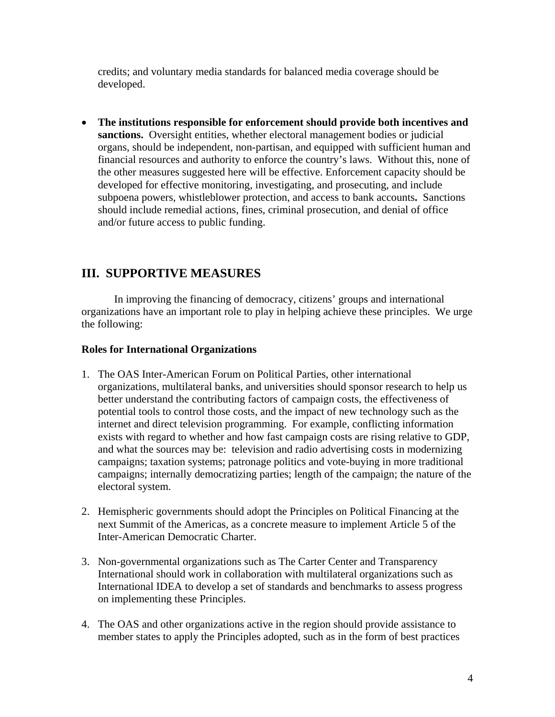credits; and voluntary media standards for balanced media coverage should be developed.

• **The institutions responsible for enforcement should provide both incentives and sanctions.** Oversight entities, whether electoral management bodies or judicial organs, should be independent, non-partisan, and equipped with sufficient human and financial resources and authority to enforce the country's laws. Without this, none of the other measures suggested here will be effective. Enforcement capacity should be developed for effective monitoring, investigating, and prosecuting, and include subpoena powers, whistleblower protection, and access to bank accounts**.** Sanctions should include remedial actions, fines, criminal prosecution, and denial of office and/or future access to public funding.

# **III. SUPPORTIVE MEASURES**

In improving the financing of democracy, citizens' groups and international organizations have an important role to play in helping achieve these principles. We urge the following:

#### **Roles for International Organizations**

- 1. The OAS Inter-American Forum on Political Parties, other international organizations, multilateral banks, and universities should sponsor research to help us better understand the contributing factors of campaign costs, the effectiveness of potential tools to control those costs, and the impact of new technology such as the internet and direct television programming. For example, conflicting information exists with regard to whether and how fast campaign costs are rising relative to GDP, and what the sources may be: television and radio advertising costs in modernizing campaigns; taxation systems; patronage politics and vote-buying in more traditional campaigns; internally democratizing parties; length of the campaign; the nature of the electoral system.
- 2. Hemispheric governments should adopt the Principles on Political Financing at the next Summit of the Americas, as a concrete measure to implement Article 5 of the Inter-American Democratic Charter.
- 3. Non-governmental organizations such as The Carter Center and Transparency International should work in collaboration with multilateral organizations such as International IDEA to develop a set of standards and benchmarks to assess progress on implementing these Principles.
- 4. The OAS and other organizations active in the region should provide assistance to member states to apply the Principles adopted, such as in the form of best practices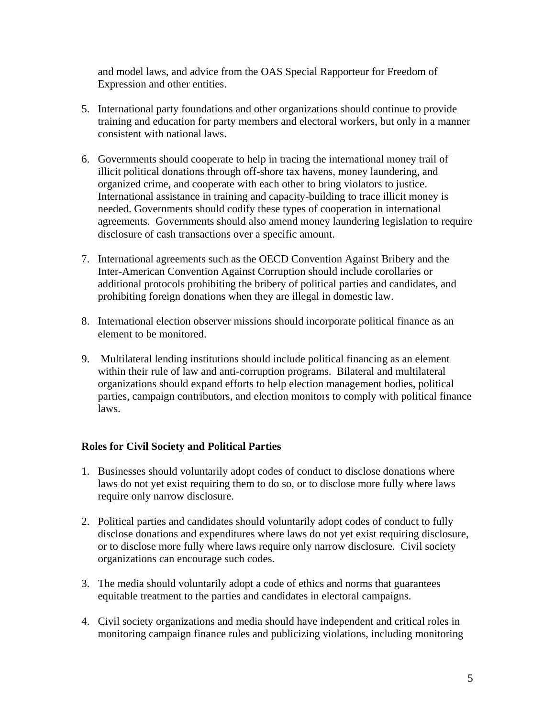and model laws, and advice from the OAS Special Rapporteur for Freedom of Expression and other entities.

- 5. International party foundations and other organizations should continue to provide training and education for party members and electoral workers, but only in a manner consistent with national laws.
- 6. Governments should cooperate to help in tracing the international money trail of illicit political donations through off-shore tax havens, money laundering, and organized crime, and cooperate with each other to bring violators to justice. International assistance in training and capacity-building to trace illicit money is needed. Governments should codify these types of cooperation in international agreements. Governments should also amend money laundering legislation to require disclosure of cash transactions over a specific amount.
- 7. International agreements such as the OECD Convention Against Bribery and the Inter-American Convention Against Corruption should include corollaries or additional protocols prohibiting the bribery of political parties and candidates, and prohibiting foreign donations when they are illegal in domestic law.
- 8. International election observer missions should incorporate political finance as an element to be monitored.
- 9. Multilateral lending institutions should include political financing as an element within their rule of law and anti-corruption programs. Bilateral and multilateral organizations should expand efforts to help election management bodies, political parties, campaign contributors, and election monitors to comply with political finance laws.

### **Roles for Civil Society and Political Parties**

- 1. Businesses should voluntarily adopt codes of conduct to disclose donations where laws do not yet exist requiring them to do so, or to disclose more fully where laws require only narrow disclosure.
- 2. Political parties and candidates should voluntarily adopt codes of conduct to fully disclose donations and expenditures where laws do not yet exist requiring disclosure, or to disclose more fully where laws require only narrow disclosure. Civil society organizations can encourage such codes.
- 3. The media should voluntarily adopt a code of ethics and norms that guarantees equitable treatment to the parties and candidates in electoral campaigns.
- 4. Civil society organizations and media should have independent and critical roles in monitoring campaign finance rules and publicizing violations, including monitoring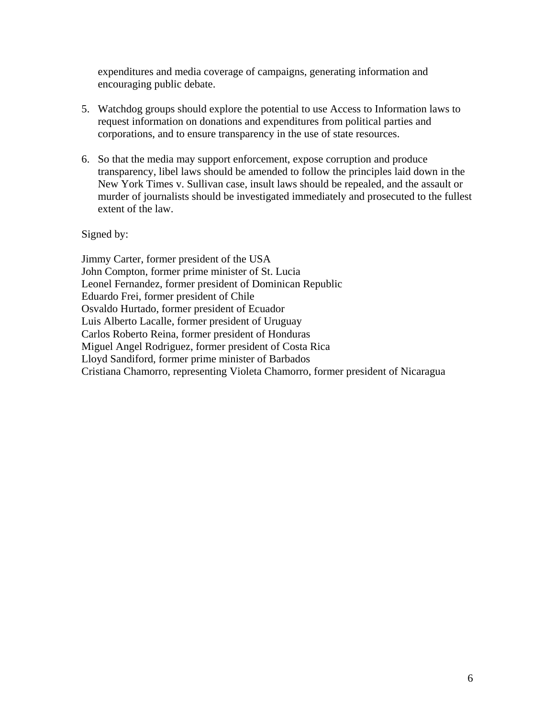expenditures and media coverage of campaigns, generating information and encouraging public debate.

- 5. Watchdog groups should explore the potential to use Access to Information laws to request information on donations and expenditures from political parties and corporations, and to ensure transparency in the use of state resources.
- 6. So that the media may support enforcement, expose corruption and produce transparency, libel laws should be amended to follow the principles laid down in the New York Times v. Sullivan case, insult laws should be repealed, and the assault or murder of journalists should be investigated immediately and prosecuted to the fullest extent of the law.

Signed by:

Jimmy Carter, former president of the USA John Compton, former prime minister of St. Lucia Leonel Fernandez, former president of Dominican Republic Eduardo Frei, former president of Chile Osvaldo Hurtado, former president of Ecuador Luis Alberto Lacalle, former president of Uruguay Carlos Roberto Reina, former president of Honduras Miguel Angel Rodriguez, former president of Costa Rica Lloyd Sandiford, former prime minister of Barbados Cristiana Chamorro, representing Violeta Chamorro, former president of Nicaragua